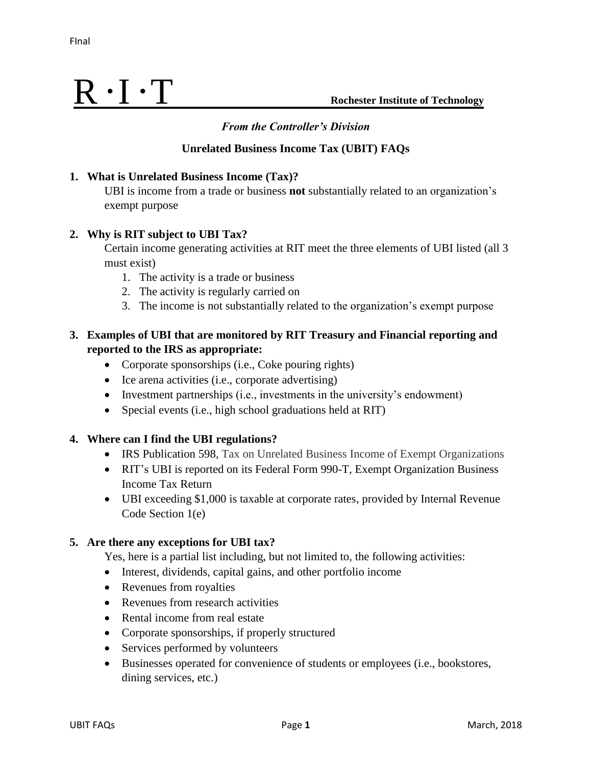### **Unrelated Business Income Tax (UBIT) FAQs**

#### **1. What is Unrelated Business Income (Tax)?**

UBI is income from a trade or business **not** substantially related to an organization's exempt purpose

### **2. Why is RIT subject to UBI Tax?**

Certain income generating activities at RIT meet the three elements of UBI listed (all 3 must exist)

- 1. The activity is a trade or business
- 2. The activity is regularly carried on
- 3. The income is not substantially related to the organization's exempt purpose

# **3. Examples of UBI that are monitored by RIT Treasury and Financial reporting and reported to the IRS as appropriate:**

- Corporate sponsorships (i.e., Coke pouring rights)
- Ice arena activities (i.e., corporate advertising)
- Investment partnerships (i.e., investments in the university's endowment)
- Special events (i.e., high school graduations held at RIT)

### **4. Where can I find the UBI regulations?**

- IRS Publication 598, Tax on Unrelated Business Income of Exempt Organizations
- RIT's UBI is reported on its Federal Form 990-T, Exempt Organization Business Income Tax Return
- UBI exceeding \$1,000 is taxable at corporate rates, provided by Internal Revenue Code Section 1(e)

### **5. Are there any exceptions for UBI tax?**

Yes, here is a partial list including, but not limited to, the following activities:

- Interest, dividends, capital gains, and other portfolio income
- Revenues from royalties
- Revenues from research activities
- Rental income from real estate
- Corporate sponsorships, if properly structured
- Services performed by volunteers
- Businesses operated for convenience of students or employees (i.e., bookstores, dining services, etc.)